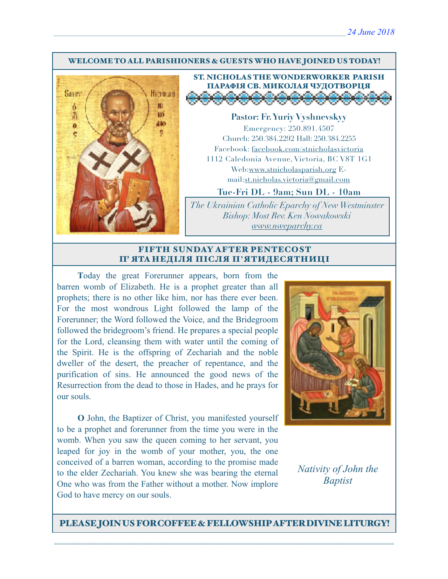#### WELCOME TO ALL PARISHIONERS & GUESTS WHO HAVE JOINED US TODAY!



# ST. NICHOLAS THE WONDERWORKER PARISH ПАРАФІЯ СВ. МИКОЛАЯ ЧУДОТВОРЦЯ

**Pastor: Fr. Yuriy Vyshnevskyy** Emergency: 250.891.4507 Church: 250.384.2292 Hall: 250.384.2255 Facebook: facebook.com/stnicholasvictoria 1112 Caledonia Avenue, Victoria, BC V8T 1G1 Web[:www.stnicholasparish.org](http://www.stnicholasparish.org) Email:[st.nicholas.victoria@gmail.com](mailto:st.nicholas.victoria@gmail.com)

### **Tue-Fri DL - 9am; Sun DL - 10am**

*The Ukrainian Catholic Eparchy of New Westminster Bishop: Most Rev. Ken Nowakowski [www.nweparchy.ca](http://www.nweparchy.ca)*

#### FIFTH SUNDAY AFTER PENTECOST П' ЯТА НЕДІЛЯ ПІСЛЯ П**'**ЯТИДЕСЯТНИЦІ

**T**oday the great Forerunner appears, born from the barren womb of Elizabeth. He is a prophet greater than all prophets; there is no other like him, nor has there ever been. For the most wondrous Light followed the lamp of the Forerunner; the Word followed the Voice, and the Bridegroom followed the bridegroom's friend. He prepares a special people for the Lord, cleansing them with water until the coming of the Spirit. He is the offspring of Zechariah and the noble dweller of the desert, the preacher of repentance, and the purification of sins. He announced the good news of the Resurrection from the dead to those in Hades, and he prays for our souls.

**O** John, the Baptizer of Christ, you manifested yourself to be a prophet and forerunner from the time you were in the womb. When you saw the queen coming to her servant, you leaped for joy in the womb of your mother, you, the one conceived of a barren woman, according to the promise made to the elder Zechariah. You knew she was bearing the eternal One who was from the Father without a mother. Now implore God to have mercy on our souls.



### *Nativity of John the Baptist*

PLEASE JOIN US FOR COFFEE & FELLOWSHIP AFTER DIVINE LITURGY!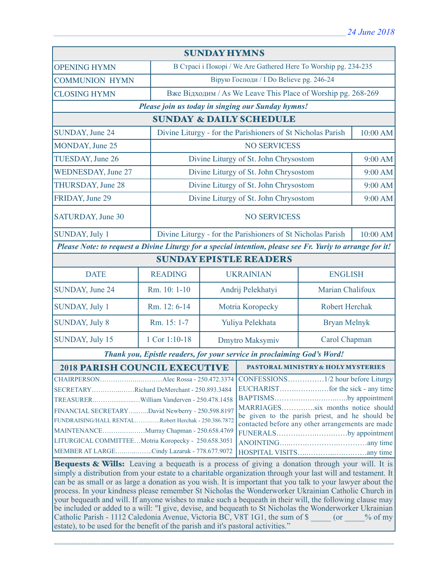| <b>SUNDAY HYMNS</b>                                                                                                                                                                                             |                |                                                                 |                                                             |                       |                  |  |
|-----------------------------------------------------------------------------------------------------------------------------------------------------------------------------------------------------------------|----------------|-----------------------------------------------------------------|-------------------------------------------------------------|-----------------------|------------------|--|
| <b>OPENING HYMN</b>                                                                                                                                                                                             |                | В Страсі і Покорі / We Are Gathered Here To Worship pg. 234-235 |                                                             |                       |                  |  |
| <b>COMMUNION HYMN</b>                                                                                                                                                                                           |                | Вірую Господи / I Do Believe pg. 246-24                         |                                                             |                       |                  |  |
| <b>CLOSING HYMN</b>                                                                                                                                                                                             |                | Вже Відходим / As We Leave This Place of Worship pg. 268-269    |                                                             |                       |                  |  |
| Please join us today in singing our Sunday hymns!                                                                                                                                                               |                |                                                                 |                                                             |                       |                  |  |
| <b>SUNDAY &amp; DAILY SCHEDULE</b>                                                                                                                                                                              |                |                                                                 |                                                             |                       |                  |  |
| SUNDAY, June 24                                                                                                                                                                                                 |                | Divine Liturgy - for the Parishioners of St Nicholas Parish     |                                                             |                       | 10:00 AM         |  |
| MONDAY, June 25                                                                                                                                                                                                 |                | <b>NO SERVICESS</b>                                             |                                                             |                       |                  |  |
| TUESDAY, June 26                                                                                                                                                                                                |                |                                                                 | Divine Liturgy of St. John Chrysostom                       |                       | 9:00 AM          |  |
| <b>WEDNESDAY, June 27</b>                                                                                                                                                                                       |                |                                                                 | Divine Liturgy of St. John Chrysostom                       |                       | 9:00 AM          |  |
| <b>THURSDAY, June 28</b>                                                                                                                                                                                        |                |                                                                 | Divine Liturgy of St. John Chrysostom                       |                       | 9:00 AM          |  |
| FRIDAY, June 29                                                                                                                                                                                                 |                |                                                                 | Divine Liturgy of St. John Chrysostom                       |                       | 9:00 AM          |  |
| SATURDAY, June 30                                                                                                                                                                                               |                | <b>NO SERVICESS</b>                                             |                                                             |                       |                  |  |
| <b>SUNDAY, July 1</b>                                                                                                                                                                                           |                |                                                                 | Divine Liturgy - for the Parishioners of St Nicholas Parish |                       | 10:00 AM         |  |
| Please Note: to request a Divine Liturgy for a special intention, please see Fr. Yuriy to arrange for it!                                                                                                       |                |                                                                 |                                                             |                       |                  |  |
| <b>SUNDAY EPISTLE READERS</b>                                                                                                                                                                                   |                |                                                                 |                                                             |                       |                  |  |
| <b>DATE</b>                                                                                                                                                                                                     | <b>READING</b> |                                                                 | <b>UKRAINIAN</b><br><b>ENGLISH</b>                          |                       |                  |  |
| SUNDAY, June 24                                                                                                                                                                                                 | Rm. 10: 1-10   | Andrij Pelekhatyi                                               |                                                             |                       | Marian Chalifoux |  |
| <b>SUNDAY, July 1</b>                                                                                                                                                                                           | Rm. 12: 6-14   | Motria Koropecky                                                |                                                             | <b>Robert Herchak</b> |                  |  |
| <b>SUNDAY, July 8</b>                                                                                                                                                                                           | Rm. 15: 1-7    | Yuliya Pelekhata                                                |                                                             | <b>Bryan Melnyk</b>   |                  |  |
| SUNDAY, July 15                                                                                                                                                                                                 | 1 Cor 1:10-18  | Dmytro Maksymiv                                                 |                                                             | Carol Chapman         |                  |  |
| Thank you, Epistle readers, for your service in proclaiming God's Word!                                                                                                                                         |                |                                                                 |                                                             |                       |                  |  |
| <b>2018 PARISH COUNCIL EXECUTIVE</b>                                                                                                                                                                            |                |                                                                 | <b>PASTORAL MINISTRY &amp; HOLY MYSTERIES</b>               |                       |                  |  |
|                                                                                                                                                                                                                 |                |                                                                 |                                                             |                       |                  |  |
| SECRETARYRichard DeMerchant - 250.893.3484                                                                                                                                                                      |                |                                                                 |                                                             |                       |                  |  |
|                                                                                                                                                                                                                 |                |                                                                 | BAPTISMSby appointment<br>MARRIAGESsix months notice should |                       |                  |  |
| FINANCIAL SECRETARYDavid Newberry - 250.598.8197                                                                                                                                                                |                |                                                                 | be given to the parish priest, and he should be             |                       |                  |  |
| FUNDRAISING/HALL RENTALRobert Herchak - 250.386.7872                                                                                                                                                            |                |                                                                 | contacted before any other arrangements are made            |                       |                  |  |
| MAINTENANCEMurray Chapman - 250.658.4769<br>LITURGICAL COMMITTEEMotria Koropecky - 250.658.3051                                                                                                                 |                |                                                                 | FUNERALSby appointment                                      |                       |                  |  |
| MEMBER AT LARGECindy Lazaruk - 778.677.9072                                                                                                                                                                     |                |                                                                 |                                                             |                       |                  |  |
|                                                                                                                                                                                                                 |                |                                                                 |                                                             |                       |                  |  |
| Bequests & Wills: Leaving a bequeath is a process of giving a donation through your will. It is<br>simply a distribution from your estate to a charitable organization through your last will and testament. It |                |                                                                 |                                                             |                       |                  |  |

can be as small or as large a donation as you wish. It is important that you talk to your lawyer about the process. In your kindness please remember St Nicholas the Wonderworker Ukrainian Catholic Church in your bequeath and will. If anyone wishes to make such a bequeath in their will, the following clause may be included or added to a will: "I give, devise, and bequeath to St Nicholas the Wonderworker Ukrainian Catholic Parish - 1112 Caledonia Avenue, Victoria BC, V8T 1G1, the sum of \$ \_\_\_\_\_ (or \_\_\_\_% of my estate), to be used for the benefit of the parish and it's pastoral activities."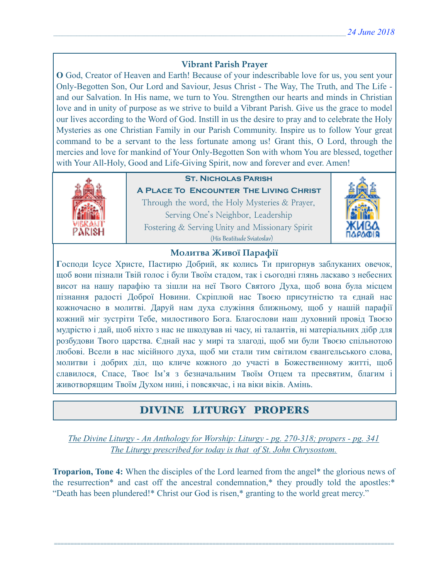### **Vibrant Parish Prayer**

**O** God, Creator of Heaven and Earth! Because of your indescribable love for us, you sent your Only-Begotten Son, Our Lord and Saviour, Jesus Christ - The Way, The Truth, and The Life and our Salvation. In His name, we turn to You. Strengthen our hearts and minds in Christian love and in unity of purpose as we strive to build a Vibrant Parish. Give us the grace to model our lives according to the Word of God. Instill in us the desire to pray and to celebrate the Holy Mysteries as one Christian Family in our Parish Community. Inspire us to follow Your great command to be a servant to the less fortunate among us! Grant this, O Lord, through the mercies and love for mankind of Your Only-Begotten Son with whom You are blessed, together with Your All-Holy, Good and Life-Giving Spirit, now and forever and ever. Amen!



### **St. Nicholas Parish**

**A Place To Encounter The Living Christ** Through the word, the Holy Mysteries & Prayer, Serving One's Neighbor, Leadership Fostering & Serving Unity and Missionary Spirit (His Beatitude Sviatoslav)



### **Молитва Живої Парафії**

**Г**осподи Ісусе Христе, Пастирю Добрий, як колись Ти пригорнув заблуканих овечок, щоб вони пізнали Твій голос і були Твоїм стадом, так і сьогодні глянь ласкаво з небесних висот на нашу парафію та зішли на неї Твого Святого Духа, щоб вона була місцем пізнання радості Доброї Новини. Скріплюй нас Твоєю присутністю та єднай нас кожночасно в молитві. Даруй нам духа служіння ближньому, щоб у нашій парафії кожний міг зустріти Тебе, милостивого Бога. Благослови наш духовний провід Твоєю мудрістю і дай, щоб ніхто з нас не шкодував ні часу, ні талантів, ні матеріальних дібр для розбудови Твого царства. Єднай нас у мирі та злагоді, щоб ми були Твоєю спільнотою любові. Всели в нас місійного духа, щоб ми стали тим світилом євангельського слова, молитви і добрих діл, що кличе кожного до участі в Божественному житті, щоб славилося, Спасе, Твоє Ім'я з безначальним Твоїм Отцем та пресвятим, благим і животворящим Твоїм Духом нині, і повсякчас, і на віки віків. Амінь.

## DIVINE LITURGY PROPERS

*The Divine Liturgy - An Anthology for Worship: Liturgy - pg. 270-318; propers - pg. 341 The Liturgy prescribed for today is that of St. John Chrysostom.* 

**Troparion, Tone 4:** When the disciples of the Lord learned from the angel\* the glorious news of the resurrection\* and cast off the ancestral condemnation,\* they proudly told the apostles:\* "Death has been plundered!\* Christ our God is risen,\* granting to the world great mercy."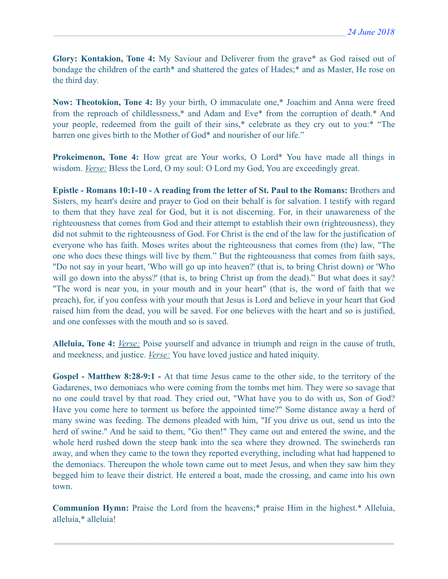**Glory: Kontakion, Tone 4:** My Saviour and Deliverer from the grave\* as God raised out of bondage the children of the earth\* and shattered the gates of Hades;\* and as Master, He rose on the third day.

**Now: Theotokion, Tone 4:** By your birth, O immaculate one,\* Joachim and Anna were freed from the reproach of childlessness,\* and Adam and Eve\* from the corruption of death.\* And your people, redeemed from the guilt of their sins,\* celebrate as they cry out to you:\* "The barren one gives birth to the Mother of God\* and nourisher of our life."

**Prokeimenon, Tone 4:** How great are Your works, O Lord\* You have made all things in wisdom. *Verse:* Bless the Lord, O my soul: O Lord my God, You are exceedingly great.

**Epistle - Romans 10:1-10 - A reading from the letter of St. Paul to the Romans:** Brothers and Sisters, my heart's desire and prayer to God on their behalf is for salvation. I testify with regard to them that they have zeal for God, but it is not discerning. For, in their unawareness of the righteousness that comes from God and their attempt to establish their own (righteousness), they did not submit to the righteousness of God. For Christ is the end of the law for the justification of everyone who has faith. Moses writes about the righteousness that comes from (the) law, "The one who does these things will live by them." But the righteousness that comes from faith says, "Do not say in your heart, 'Who will go up into heaven?' (that is, to bring Christ down) or 'Who will go down into the abyss?' (that is, to bring Christ up from the dead)." But what does it say? "The word is near you, in your mouth and in your heart" (that is, the word of faith that we preach), for, if you confess with your mouth that Jesus is Lord and believe in your heart that God raised him from the dead, you will be saved. For one believes with the heart and so is justified, and one confesses with the mouth and so is saved.

**Alleluia, Tone 4:** *Verse:* Poise yourself and advance in triumph and reign in the cause of truth, and meekness, and justice. *Verse:* You have loved justice and hated iniquity.

**Gospel - Matthew 8:28-9:1 -** At that time Jesus came to the other side, to the territory of the Gadarenes, two demoniacs who were coming from the tombs met him. They were so savage that no one could travel by that road. They cried out, "What have you to do with us, Son of God? Have you come here to torment us before the appointed time?" Some distance away a herd of many swine was feeding. The demons pleaded with him, "If you drive us out, send us into the herd of swine." And he said to them, "Go then!" They came out and entered the swine, and the whole herd rushed down the steep bank into the sea where they drowned. The swineherds ran away, and when they came to the town they reported everything, including what had happened to the demoniacs. Thereupon the whole town came out to meet Jesus, and when they saw him they begged him to leave their district. He entered a boat, made the crossing, and came into his own town.

**Communion Hymn:** Praise the Lord from the heavens;\* praise Him in the highest.\* Alleluia, alleluia,\* alleluia!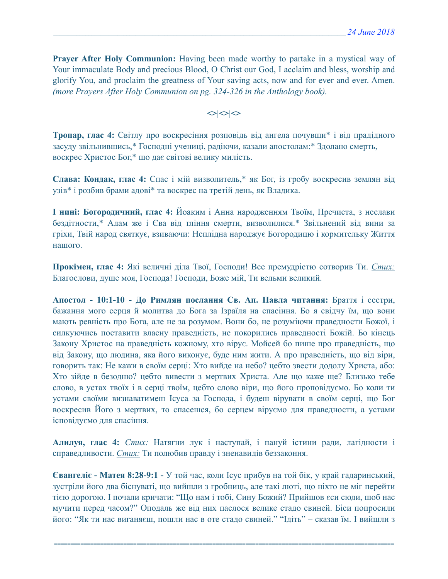**Prayer After Holy Communion:** Having been made worthy to partake in a mystical way of Your immaculate Body and precious Blood, O Christ our God, I acclaim and bless, worship and glorify You, and proclaim the greatness of Your saving acts, now and for ever and ever. Amen. *(more Prayers After Holy Communion on pg. 324-326 in the Anthology book).* 

 $\left| \diamond \right| \diamond \left| \diamond \right|$ 

**Тропар, глас 4:** Світлу про воскресіння розповідь від ангела почувши\* і від прадідного засуду звільнившись,\* Господні учениці, радіючи, казали апостолам:\* Здолано смерть, воскрес Христос Бог,\* що дає світові велику милість.

**Слава: Кондак, глас 4:** Спас і мій визволитель,\* як Бог, із гробу воскресив землян від узів\* і розбив брами адові\* та воскрес на третій день, як Владика.

**І нині: Богородичний, глас 4:** Йоаким і Анна народженням Твоїм, Пречиста, з неслави бездітности,\* Адам же і Єва від тління смерти, визволилися.\* Звільнений від вини за гріхи, Твій народ святкує, взиваючи: Неплідна народжує Богородицю і кормительку Життя нашого.

**Прокімен, глас 4:** Які величні діла Твої, Господи! Все премудрістю сотворив Ти. *Стих:*  Благослови, душе моя, Господа! Господи, Боже мій, Ти вельми великий.

**Апостол - 10:1-10 - До Римлян послання Св. Ап. Павла читання:** Браття і сестри, бажання мого серця й молитва до Бога за Ізраїля на спасіння. Бо я свідчу їм, що вони мають ревність про Бога, але не за розумом. Вони бо, не розуміючи праведности Божої, і силкуючись поставити власну праведність, не покорились праведності Божій. Бо кінець Закону Христос на праведність кожному, хто вірує. Мойсей бо пише про праведність, що від Закону, що людина, яка його виконує, буде ним жити. А про праведність, що від віри, говорить так: Не кажи в своїм серці: Хто вийде на небо? цебто звести додолу Христа, або: Хто зійде в безодню? цебто вивести з мертвих Христа. Але що каже ще? Близько тебе слово, в устах твоїх і в серці твоїм, цебто слово віри, що його проповідуємо. Бо коли ти устами своїми визнаватимеш Ісуса за Господа, і будеш вірувати в своїм серці, що Бог воскресив Його з мертвих, то спасешся, бо серцем віруємо для праведности, а устами ісповідуємо для спасіння.

**Алилуя, глас 4:** *Стих:* Натягни лук і наступай, і пануй істини ради, лагідности і справедливости. *Стих:* Ти полюбив правду і зненавидів беззаконня.

**Євангеліє - Матея 8:28-9:1 -** У той час, коли Ісус прибув на той бік, у край гадаринський, зустріли його два біснуваті, що вийшли з гробниць, але такі люті, що ніхто не міг перейти тією дорогою. І почали кричати: "Що нам і тобі, Сину Божий? Прийшов єси сюди, щоб нас мучити перед часом?" Оподаль же від них паслося велике стадо свиней. Біси попросили його: "Як ти нас виганяєш, пошли нас в оте стадо свиней." "Ідіть" – сказав їм. І вийшли з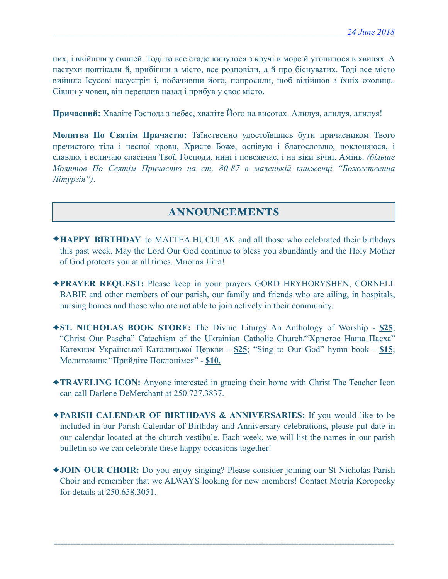них, і ввійшли у свиней. Тоді то все стадо кинулося з кручі в море й утопилося в хвилях. А пастухи повтікали й, прибігши в місто, все розповіли, а й про біснуватих. Тоді все місто вийшло Ісусові назустріч і, побачивши його, попросили, щоб відійшов з їхніх околиць. Сівши у човен, він переплив назад і прибув у своє місто.

**Причасний:** Хваліте Господа з небес, хваліте Його на висотах. Алилуя, алилуя, алилуя!

**Молитва По Святім Причастю:** Таїнственно удостоївшись бути причасником Твого пречистого тіла і чесної крови, Христе Боже, оспівую і благословлю, поклоняюся, і славлю, і величаю спасіння Твої, Господи, нині і повсякчас, і на віки вічні. Амінь. *(більше Молитов По Святім Причастю на ст. 80-87 в маленькій книжечці "Божественна Літургія")*.

### ANNOUNCEMENTS

- ✦**HAPPY BIRTHDAY** to MATTEA HUCULAK and all those who celebrated their birthdays this past week. May the Lord Our God continue to bless you abundantly and the Holy Mother of God protects you at all times. Многая Літа!
- ✦**PRAYER REQUEST:** Please keep in your prayers GORD HRYHORYSHEN, CORNELL BABIE and other members of our parish, our family and friends who are ailing, in hospitals, nursing homes and those who are not able to join actively in their community.
- ✦**ST. NICHOLAS BOOK STORE:** The Divine Liturgy An Anthology of Worship **\$25**; "Christ Our Pascha" Catechism of the Ukrainian Catholic Church/"Христос Наша Пасха" Катехизм Української Католицької Церкви - **\$25**; "Sing to Our God" hymn book - **\$15**; Молитовник "Прийдіте Поклонімся" - **\$10**.
- ✦**TRAVELING ICON:** Anyone interested in gracing their home with Christ The Teacher Icon can call Darlene DeMerchant at 250.727.3837.
- ✦**PARISH CALENDAR OF BIRTHDAYS & ANNIVERSARIES:** If you would like to be included in our Parish Calendar of Birthday and Anniversary celebrations, please put date in our calendar located at the church vestibule. Each week, we will list the names in our parish bulletin so we can celebrate these happy occasions together!
- ✦**JOIN OUR CHOIR:** Do you enjoy singing? Please consider joining our St Nicholas Parish Choir and remember that we ALWAYS looking for new members! Contact Motria Koropecky for details at 250.658.3051.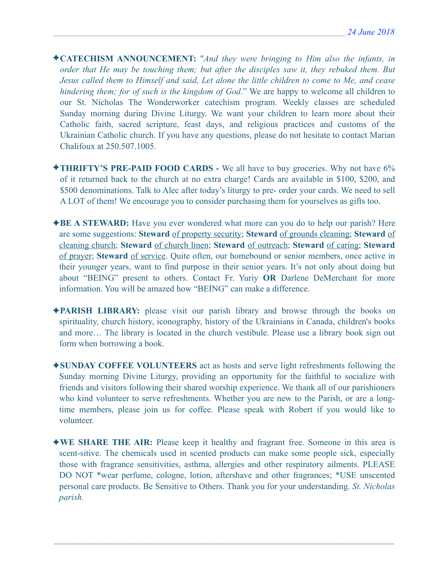- ✦**CATECHISM ANNOUNCEMENT:** "*And they were bringing to Him also the infants, in order that He may be touching them; but after the disciples saw it, they rebuked them. But Jesus called them to Himself and said, Let alone the little children to come to Me, and cease hindering them; for of such is the kingdom of God*." We are happy to welcome all children to our St. Nicholas The Wonderworker catechism program. Weekly classes are scheduled Sunday morning during Divine Liturgy. We want your children to learn more about their Catholic faith, sacred scripture, feast days, and religious practices and customs of the Ukrainian Catholic church. If you have any questions, please do not hesitate to contact Marian Chalifoux at 250.507.1005.
- ✦**THRIFTY'S PRE-PAID FOOD CARDS** We all have to buy groceries. Why not have 6% of it returned back to the church at no extra charge! Cards are available in \$100, \$200, and \$500 denominations. Talk to Alec after today's liturgy to pre- order your cards. We need to sell A LOT of them! We encourage you to consider purchasing them for yourselves as gifts too.
- ✦**BE A STEWARD:** Have you ever wondered what more can you do to help our parish? Here are some suggestions: **Steward** of property security; **Steward** of grounds cleaning; **Steward** of cleaning church; **Steward** of church linen; **Steward** of outreach; **Steward** of caring; **Steward** of prayer; **Steward** of service. Quite often, our homebound or senior members, once active in their younger years, want to find purpose in their senior years. It's not only about doing but about "BEING" present to others. Contact Fr. Yuriy **OR** Darlene DeMerchant for more information. You will be amazed how "BEING" can make a difference.
- ✦**PARISH LIBRARY:** please visit our parish library and browse through the books on spirituality, church history, iconography, history of the Ukrainians in Canada, children's books and more… The library is located in the church vestibule. Please use a library book sign out form when borrowing a book.
- ✦**SUNDAY COFFEE VOLUNTEERS** act as hosts and serve light refreshments following the Sunday morning Divine Liturgy, providing an opportunity for the faithful to socialize with friends and visitors following their shared worship experience. We thank all of our parishioners who kind volunteer to serve refreshments. Whether you are new to the Parish, or are a longtime members, please join us for coffee. Please speak with Robert if you would like to volunteer.
- ✦**WE SHARE THE AIR:** Please keep it healthy and fragrant free. Someone in this area is scent-sitive. The chemicals used in scented products can make some people sick, especially those with fragrance sensitivities, asthma, allergies and other respiratory ailments. PLEASE DO NOT \*wear perfume, cologne, lotion, aftershave and other fragrances; \*USE unscented personal care products. Be Sensitive to Others. Thank you for your understanding. *St. Nicholas parish.*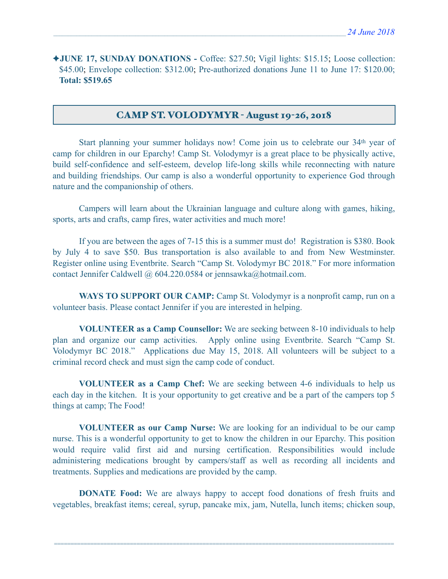✦**JUNE 17, SUNDAY DONATIONS -** Coffee: \$27.50; Vigil lights: \$15.15; Loose collection: \$45.00; Envelope collection: \$312.00; Pre-authorized donations June 11 to June 17: \$120.00; **Total: \$519.65**

### CAMP ST. VOLODYMYR - August 19-26, 2018

Start planning your summer holidays now! Come join us to celebrate our 34<sup>th</sup> year of camp for children in our Eparchy! Camp St. Volodymyr is a great place to be physically active, build self-confidence and self-esteem, develop life-long skills while reconnecting with nature and building friendships. Our camp is also a wonderful opportunity to experience God through nature and the companionship of others.

 Campers will learn about the Ukrainian language and culture along with games, hiking, sports, arts and crafts, camp fires, water activities and much more!

 If you are between the ages of 7-15 this is a summer must do! Registration is \$380. Book by July 4 to save \$50. Bus transportation is also available to and from New Westminster. Register online using Eventbrite. Search "Camp St. Volodymyr BC 2018." For more information contact Jennifer Caldwell @ 604.220.0584 or [jennsawka@hotmail.com.](mailto:jennsawka@hotmail.com)

**WAYS TO SUPPORT OUR CAMP:** Camp St. Volodymyr is a nonprofit camp, run on a volunteer basis. Please contact Jennifer if you are interested in helping.

**VOLUNTEER as a Camp Counsellor:** We are seeking between 8-10 individuals to help plan and organize our camp activities. Apply online using Eventbrite. Search "Camp St. Volodymyr BC 2018." Applications due May 15, 2018. All volunteers will be subject to a criminal record check and must sign the camp code of conduct.

**VOLUNTEER as a Camp Chef:** We are seeking between 4-6 individuals to help us each day in the kitchen. It is your opportunity to get creative and be a part of the campers top 5 things at camp; The Food!

**VOLUNTEER as our Camp Nurse:** We are looking for an individual to be our camp nurse. This is a wonderful opportunity to get to know the children in our Eparchy. This position would require valid first aid and nursing certification. Responsibilities would include administering medications brought by campers/staff as well as recording all incidents and treatments. Supplies and medications are provided by the camp.

**DONATE Food:** We are always happy to accept food donations of fresh fruits and vegetables, breakfast items; cereal, syrup, pancake mix, jam, Nutella, lunch items; chicken soup,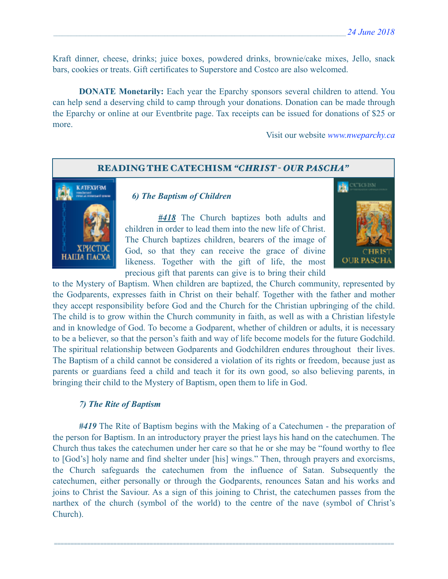Kraft dinner, cheese, drinks; juice boxes, powdered drinks, brownie/cake mixes, Jello, snack bars, cookies or treats. Gift certificates to Superstore and Costco are also welcomed.

 **DONATE Monetarily:** Each year the Eparchy sponsors several children to attend. You can help send a deserving child to camp through your donations. Donation can be made through the Eparchy or online at our Eventbrite page. Tax receipts can be issued for donations of \$25 or more.

Visit our website *[www.nweparchy.ca](http://www.nweparchy.ca)*

#### READING THE CATECHISM *"CHRIST - OUR PASCHA"*



### *6) The Baptism of Children*

*#418* The Church baptizes both adults and children in order to lead them into the new life of Christ. The Church baptizes children, bearers of the image of God, so that they can receive the grace of divine likeness. Together with the gift of life, the most precious gift that parents can give is to bring their child



to the Mystery of Baptism. When children are baptized, the Church community, represented by the Godparents, expresses faith in Christ on their behalf. Together with the father and mother they accept responsibility before God and the Church for the Christian upbringing of the child. The child is to grow within the Church community in faith, as well as with a Christian lifestyle and in knowledge of God. To become a Godparent, whether of children or adults, it is necessary to be a believer, so that the person's faith and way of life become models for the future Godchild. The spiritual relationship between Godparents and Godchildren endures throughout their lives. The Baptism of a child cannot be considered a violation of its rights or freedom, because just as parents or guardians feed a child and teach it for its own good, so also believing parents, in bringing their child to the Mystery of Baptism, open them to life in God.

#### *7) The Rite of Baptism*

*#419* The Rite of Baptism begins with the Making of a Catechumen - the preparation of the person for Baptism. In an introductory prayer the priest lays his hand on the catechumen. The Church thus takes the catechumen under her care so that he or she may be "found worthy to flee to [God's] holy name and find shelter under [his] wings." Then, through prayers and exorcisms, the Church safeguards the catechumen from the influence of Satan. Subsequently the catechumen, either personally or through the Godparents, renounces Satan and his works and joins to Christ the Saviour. As a sign of this joining to Christ, the catechumen passes from the narthex of the church (symbol of the world) to the centre of the nave (symbol of Christ's Church).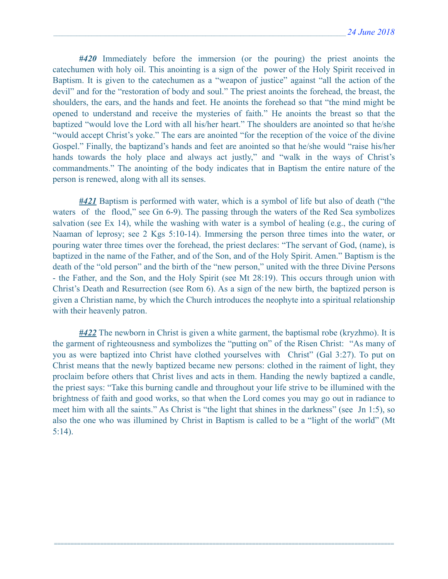*#420* Immediately before the immersion (or the pouring) the priest anoints the catechumen with holy oil. This anointing is a sign of the power of the Holy Spirit received in Baptism. It is given to the catechumen as a "weapon of justice" against "all the action of the devil" and for the "restoration of body and soul." The priest anoints the forehead, the breast, the shoulders, the ears, and the hands and feet. He anoints the forehead so that "the mind might be opened to understand and receive the mysteries of faith." He anoints the breast so that the baptized "would love the Lord with all his/her heart." The shoulders are anointed so that he/she "would accept Christ's yoke." The ears are anointed "for the reception of the voice of the divine Gospel." Finally, the baptizand's hands and feet are anointed so that he/she would "raise his/her hands towards the holy place and always act justly," and "walk in the ways of Christ's commandments." The anointing of the body indicates that in Baptism the entire nature of the person is renewed, along with all its senses.

*#421* Baptism is performed with water, which is a symbol of life but also of death ("the waters of the flood," see Gn 6-9). The passing through the waters of the Red Sea symbolizes salvation (see Ex 14), while the washing with water is a symbol of healing (e.g., the curing of Naaman of leprosy; see 2 Kgs 5:10-14). Immersing the person three times into the water, or pouring water three times over the forehead, the priest declares: "The servant of God, (name), is baptized in the name of the Father, and of the Son, and of the Holy Spirit. Amen." Baptism is the death of the "old person" and the birth of the "new person," united with the three Divine Persons - the Father, and the Son, and the Holy Spirit (see Mt 28:19). This occurs through union with Christ's Death and Resurrection (see Rom 6). As a sign of the new birth, the baptized person is given a Christian name, by which the Church introduces the neophyte into a spiritual relationship with their heavenly patron.

*#422* The newborn in Christ is given a white garment, the baptismal robe (kryzhmo). It is the garment of righteousness and symbolizes the "putting on" of the Risen Christ: "As many of you as were baptized into Christ have clothed yourselves with Christ" (Gal 3:27). To put on Christ means that the newly baptized became new persons: clothed in the raiment of light, they proclaim before others that Christ lives and acts in them. Handing the newly baptized a candle, the priest says: "Take this burning candle and throughout your life strive to be illumined with the brightness of faith and good works, so that when the Lord comes you may go out in radiance to meet him with all the saints." As Christ is "the light that shines in the darkness" (see Jn 1:5), so also the one who was illumined by Christ in Baptism is called to be a "light of the world" (Mt 5:14).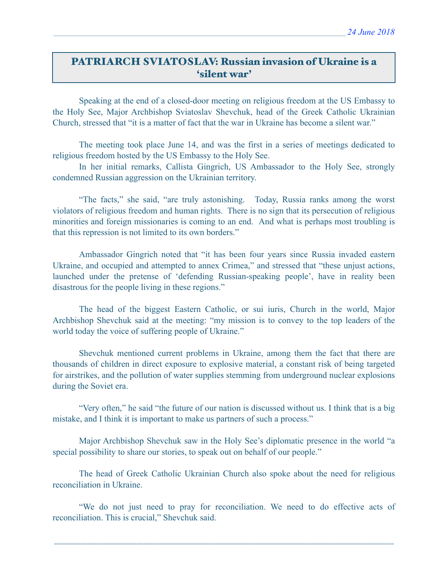# PATRIARCH SVIATOSLAV: Russian invasion of Ukraine is a 'silent war'

 Speaking at the end of a closed-door meeting on religious freedom at the US Embassy to the Holy See, Major Archbishop Sviatoslav Shevchuk, head of the Greek Catholic Ukrainian Church, stressed that "it is a matter of fact that the war in Ukraine has become a silent war."

 The meeting took place June 14, and was the first in a series of meetings dedicated to religious freedom hosted by the US Embassy to the Holy See.

 In her initial remarks, Callista Gingrich, US Ambassador to the Holy See, strongly condemned Russian aggression on the Ukrainian territory.

 "The facts," she said, "are truly astonishing. Today, Russia ranks among the worst violators of religious freedom and human rights. There is no sign that its persecution of religious minorities and foreign missionaries is coming to an end. And what is perhaps most troubling is that this repression is not limited to its own borders."

 Ambassador Gingrich noted that "it has been four years since Russia invaded eastern Ukraine, and occupied and attempted to annex Crimea," and stressed that "these unjust actions, launched under the pretense of 'defending Russian-speaking people', have in reality been disastrous for the people living in these regions."

 The head of the biggest Eastern Catholic, or sui iuris, Church in the world, Major Archbishop Shevchuk said at the meeting: "my mission is to convey to the top leaders of the world today the voice of suffering people of Ukraine."

 Shevchuk mentioned current problems in Ukraine, among them the fact that there are thousands of children in direct exposure to explosive material, a constant risk of being targeted for airstrikes, and the pollution of water supplies stemming from underground nuclear explosions during the Soviet era.

 "Very often," he said "the future of our nation is discussed without us. I think that is a big mistake, and I think it is important to make us partners of such a process."

 Major Archbishop Shevchuk saw in the Holy See's diplomatic presence in the world "a special possibility to share our stories, to speak out on behalf of our people."

 The head of Greek Catholic Ukrainian Church also spoke about the need for religious reconciliation in Ukraine.

 "We do not just need to pray for reconciliation. We need to do effective acts of reconciliation. This is crucial," Shevchuk said.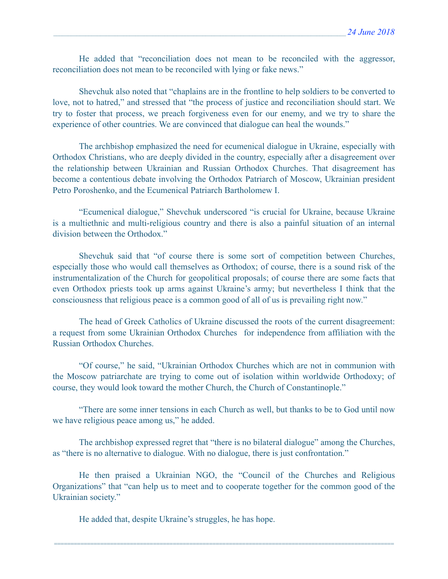He added that "reconciliation does not mean to be reconciled with the aggressor, reconciliation does not mean to be reconciled with lying or fake news."

 Shevchuk also noted that "chaplains are in the frontline to help soldiers to be converted to love, not to hatred," and stressed that "the process of justice and reconciliation should start. We try to foster that process, we preach forgiveness even for our enemy, and we try to share the experience of other countries. We are convinced that dialogue can heal the wounds."

 The archbishop emphasized the need for ecumenical dialogue in Ukraine, especially with Orthodox Christians, who are deeply divided in the country, especially after a disagreement over the relationship between Ukrainian and Russian Orthodox Churches. That disagreement has become a contentious debate involving the Orthodox Patriarch of Moscow, Ukrainian president Petro Poroshenko, and the Ecumenical Patriarch Bartholomew I.

 "Ecumenical dialogue," Shevchuk underscored "is crucial for Ukraine, because Ukraine is a multiethnic and multi-religious country and there is also a painful situation of an internal division between the Orthodox."

 Shevchuk said that "of course there is some sort of competition between Churches, especially those who would call themselves as Orthodox; of course, there is a sound risk of the instrumentalization of the Church for geopolitical proposals; of course there are some facts that even Orthodox priests took up arms against Ukraine's army; but nevertheless I think that the consciousness that religious peace is a common good of all of us is prevailing right now."

 The head of Greek Catholics of Ukraine discussed the roots of the current disagreement: a request from some Ukrainian Orthodox Churches for independence from affiliation with the Russian Orthodox Churches.

 "Of course," he said, "Ukrainian Orthodox Churches which are not in communion with the Moscow patriarchate are trying to come out of isolation within worldwide Orthodoxy; of course, they would look toward the mother Church, the Church of Constantinople."

 "There are some inner tensions in each Church as well, but thanks to be to God until now we have religious peace among us," he added.

 The archbishop expressed regret that "there is no bilateral dialogue" among the Churches, as "there is no alternative to dialogue. With no dialogue, there is just confrontation."

 He then praised a Ukrainian NGO, the "Council of the Churches and Religious Organizations" that "can help us to meet and to cooperate together for the common good of the Ukrainian society."

=======================================================================================================

He added that, despite Ukraine's struggles, he has hope.